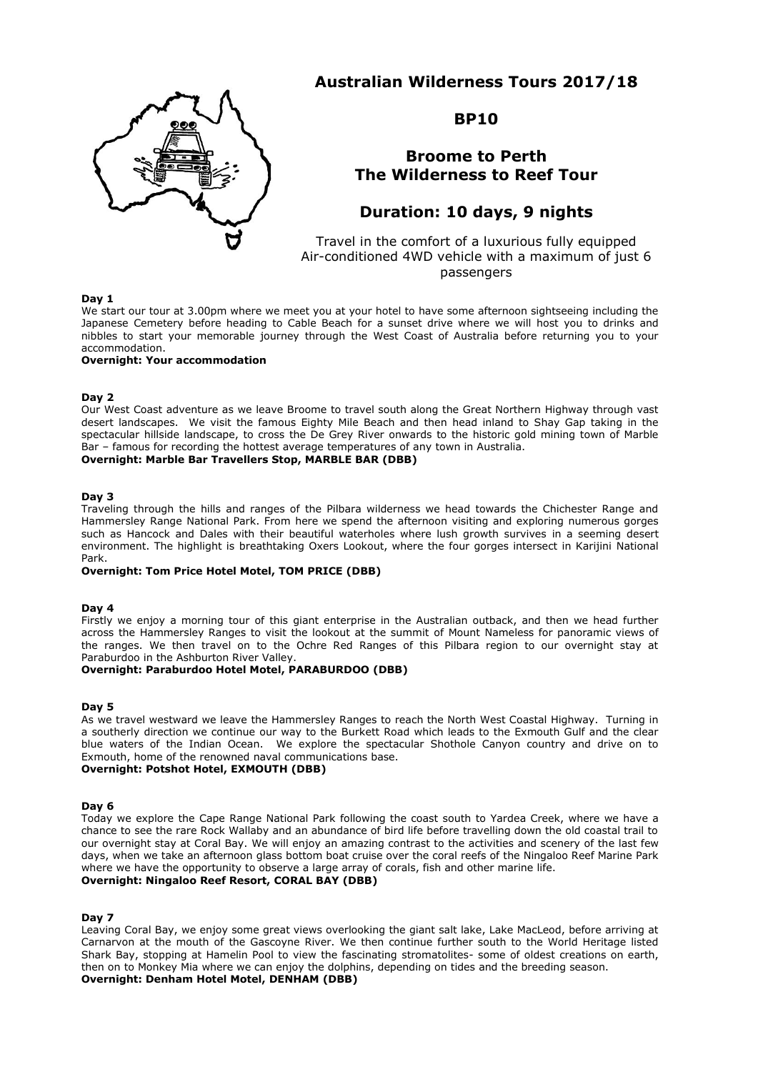# **Australian Wilderness Tours 2017/18**



# **BP10**

# **Broome to Perth The Wilderness to Reef Tour**

# **Duration: 10 days, 9 nights**

Travel in the comfort of a luxurious fully equipped Air-conditioned 4WD vehicle with a maximum of just 6 passengers

## **Day 1**

We start our tour at 3.00pm where we meet you at your hotel to have some afternoon sightseeing including the Japanese Cemetery before heading to Cable Beach for a sunset drive where we will host you to drinks and nibbles to start your memorable journey through the West Coast of Australia before returning you to your accommodation.

#### **Overnight: Your accommodation**

#### **Day 2**

Our West Coast adventure as we leave Broome to travel south along the Great Northern Highway through vast desert landscapes. We visit the famous Eighty Mile Beach and then head inland to Shay Gap taking in the spectacular hillside landscape, to cross the De Grey River onwards to the historic gold mining town of Marble Bar – famous for recording the hottest average temperatures of any town in Australia.

**Overnight: Marble Bar Travellers Stop, MARBLE BAR (DBB)**

#### **Day 3**

Traveling through the hills and ranges of the Pilbara wilderness we head towards the Chichester Range and Hammersley Range National Park. From here we spend the afternoon visiting and exploring numerous gorges such as Hancock and Dales with their beautiful waterholes where lush growth survives in a seeming desert environment. The highlight is breathtaking Oxers Lookout, where the four gorges intersect in Karijini National Park.

**Overnight: Tom Price Hotel Motel, TOM PRICE (DBB)**

## **Day 4**

Firstly we enjoy a morning tour of this giant enterprise in the Australian outback, and then we head further across the Hammersley Ranges to visit the lookout at the summit of Mount Nameless for panoramic views of the ranges. We then travel on to the Ochre Red Ranges of this Pilbara region to our overnight stay at Paraburdoo in the Ashburton River Valley.

## **Overnight: Paraburdoo Hotel Motel, PARABURDOO (DBB)**

#### **Day 5**

As we travel westward we leave the Hammersley Ranges to reach the North West Coastal Highway. Turning in a southerly direction we continue our way to the Burkett Road which leads to the Exmouth Gulf and the clear blue waters of the Indian Ocean. We explore the spectacular Shothole Canyon country and drive on to Exmouth, home of the renowned naval communications base.

## **Overnight: Potshot Hotel, EXMOUTH (DBB)**

#### **Day 6**

Today we explore the Cape Range National Park following the coast south to Yardea Creek, where we have a chance to see the rare Rock Wallaby and an abundance of bird life before travelling down the old coastal trail to our overnight stay at Coral Bay. We will enjoy an amazing contrast to the activities and scenery of the last few days, when we take an afternoon glass bottom boat cruise over the coral reefs of the Ningaloo Reef Marine Park where we have the opportunity to observe a large array of corals, fish and other marine life. **Overnight: Ningaloo Reef Resort, CORAL BAY (DBB)**

#### **Day 7**

Leaving Coral Bay, we enjoy some great views overlooking the giant salt lake, Lake MacLeod, before arriving at Carnarvon at the mouth of the Gascoyne River. We then continue further south to the World Heritage listed Shark Bay, stopping at Hamelin Pool to view the fascinating stromatolites- some of oldest creations on earth, then on to Monkey Mia where we can enjoy the dolphins, depending on tides and the breeding season. **Overnight: Denham Hotel Motel, DENHAM (DBB)**